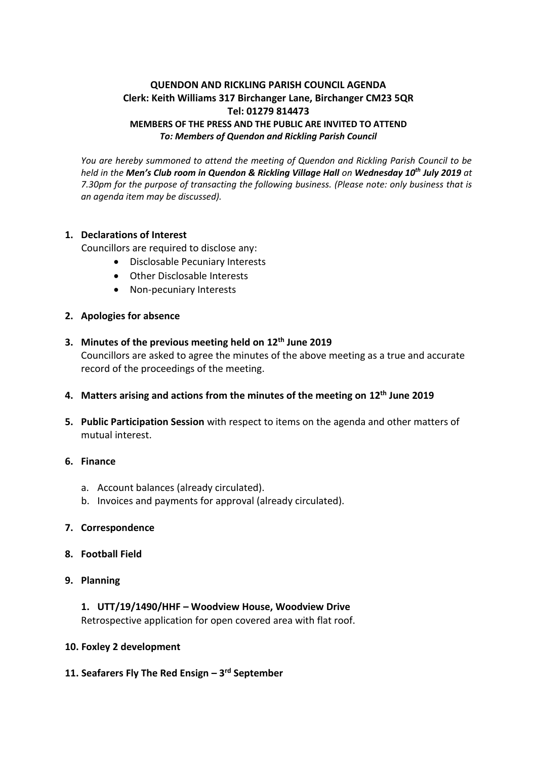# **QUENDON AND RICKLING PARISH COUNCIL AGENDA Clerk: Keith Williams 317 Birchanger Lane, Birchanger CM23 5QR Tel: 01279 814473 MEMBERS OF THE PRESS AND THE PUBLIC ARE INVITED TO ATTEND** *To: Members of Quendon and Rickling Parish Council*

*You are hereby summoned to attend the meeting of Quendon and Rickling Parish Council to be held in the Men's Club room in Quendon & Rickling Village Hall on Wednesday 10 th July 2019 at 7.30pm for the purpose of transacting the following business. (Please note: only business that is an agenda item may be discussed).*

## **1. Declarations of Interest**

Councillors are required to disclose any:

- Disclosable Pecuniary Interests
- Other Disclosable Interests
- Non-pecuniary Interests

### **2. Apologies for absence**

- **3. Minutes of the previous meeting held on 12th June 2019** Councillors are asked to agree the minutes of the above meeting as a true and accurate record of the proceedings of the meeting.
- **4. Matters arising and actions from the minutes of the meeting on 12th June 2019**
- **5. Public Participation Session** with respect to items on the agenda and other matters of mutual interest.

#### **6. Finance**

- a. Account balances (already circulated).
- b. Invoices and payments for approval (already circulated).

### **7. Correspondence**

- **8. Football Field**
- **9. Planning**

### **1. UTT/19/1490/HHF – Woodview House, Woodview Drive**

Retrospective application for open covered area with flat roof.

#### **10. Foxley 2 development**

**11. Seafarers Fly The Red Ensign – 3 rd September**